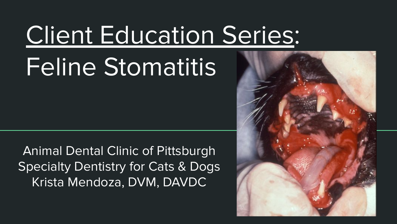## Client Education Series:

# Feline Stomatitis

Animal Dental Clinic of Pittsburgh Specialty Dentistry for Cats & Dogs Krista Mendoza, DVM, DAVDC

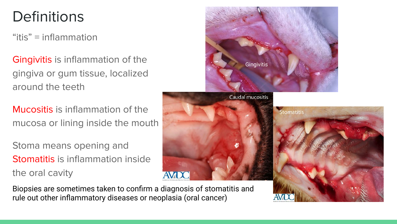#### **Definitions**

" $i$ tis" = inflammation

Gingivitis is inflammation of the gingiva or gum tissue, localized around the teeth

Mucositis is inflammation of the mucosa or lining inside the mouth

Stoma means opening and Stomatitis is inflammation inside the oral cavity



Biopsies are sometimes taken to confirm a diagnosis of stomatitis and rule out other inflammatory diseases or neoplasia (oral cancer)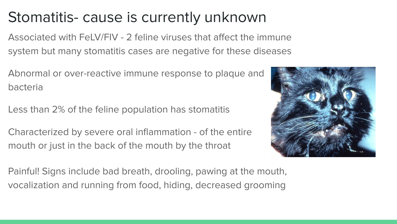#### Stomatitis- cause is currently unknown

Associated with FeLV/FIV - 2 feline viruses that affect the immune system but many stomatitis cases are negative for these diseases

Abnormal or over-reactive immune response to plaque and bacteria

Less than 2% of the feline population has stomatitis

Characterized by severe oral inflammation - of the entire mouth or just in the back of the mouth by the throat



Painful! Signs include bad breath, drooling, pawing at the mouth, vocalization and running from food, hiding, decreased grooming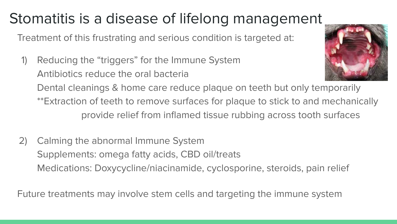### Stomatitis is a disease of lifelong management

Treatment of this frustrating and serious condition is targeted at:

- 1) Reducing the "triggers" for the Immune System Antibiotics reduce the oral bacteria Dental cleanings & home care reduce plaque on teeth but only temporarily \*\*Extraction of teeth to remove surfaces for plaque to stick to and mechanically provide relief from inflamed tissue rubbing across tooth surfaces
- 2) Calming the abnormal Immune System Supplements: omega fatty acids, CBD oil/treats Medications: Doxycycline/niacinamide, cyclosporine, steroids, pain relief

Future treatments may involve stem cells and targeting the immune system